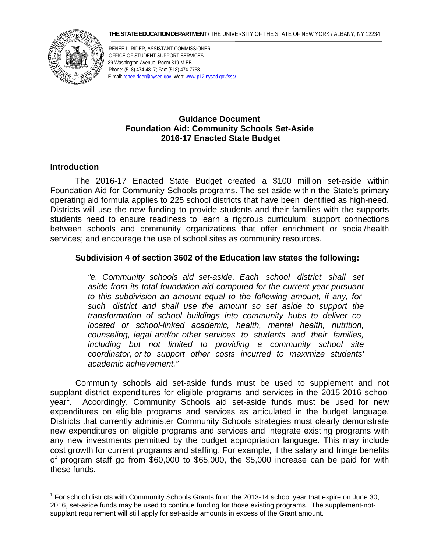#### **THE STATE EDUCATION DEPARTMENT** / THE UNIVERSITY OF THE STATE OF NEW YORK / ALBANY, NY 12234



RENÉE L. RIDER, ASSISTANT COMMISSIONER OFFICE OF STUDENT SUPPORT SERVICES 89 Washington Avenue, Room 319-M EB Phone: (518) 474-4817; Fax: (518) 474-7758 E-mail: renee.rider@nysed.gov; Web: www.p12.nysed.gov/sss/

# **Guidance Document Foundation Aid: Community Schools Set-Aside 2016-17 Enacted State Budget**

# **Introduction**

<u>.</u>

The 2016-17 Enacted State Budget created a \$100 million set-aside within Foundation Aid for Community Schools programs. The set aside within the State's primary operating aid formula applies to 225 school districts that have been identified as high-need. Districts will use the new funding to provide students and their families with the supports students need to ensure readiness to learn a rigorous curriculum; support connections between schools and community organizations that offer enrichment or social/health services; and encourage the use of school sites as community resources.

# **Subdivision 4 of section 3602 of the Education law states the following:**

*"e. Community schools aid set-aside. Each school district shall set aside from its total foundation aid computed for the current year pursuant to this subdivision an amount equal to the following amount, if any, for such district and shall use the amount so set aside to support the transformation of school buildings into community hubs to deliver colocated or school-linked academic, health, mental health, nutrition, counseling, legal and/or other services to students and their families, including but not limited to providing a community school site coordinator, or to support other costs incurred to maximize students' academic achievement."* 

Community schools aid set-aside funds must be used to supplement and not supplant district expenditures for eligible programs and services in the 2015-2016 school year<sup>1</sup>. Accordingly, Community Schools aid set-aside funds must be used for new expenditures on eligible programs and services as articulated in the budget language. Districts that currently administer Community Schools strategies must clearly demonstrate new expenditures on eligible programs and services and integrate existing programs with any new investments permitted by the budget appropriation language. This may include cost growth for current programs and staffing. For example, if the salary and fringe benefits of program staff go from \$60,000 to \$65,000, the \$5,000 increase can be paid for with these funds.

 $1$  For school districts with Community Schools Grants from the 2013-14 school year that expire on June 30, 2016, set-aside funds may be used to continue funding for those existing programs. The supplement-notsupplant requirement will still apply for set-aside amounts in excess of the Grant amount.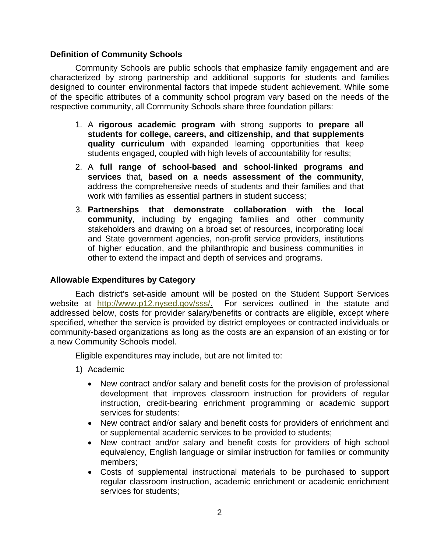# **Definition of Community Schools**

Community Schools are public schools that emphasize family engagement and are characterized by strong partnership and additional supports for students and families designed to counter environmental factors that impede student achievement. While some of the specific attributes of a community school program vary based on the needs of the respective community, all Community Schools share three foundation pillars:

- 1. A **rigorous academic program** with strong supports to **prepare all students for college, careers, and citizenship, and that supplements quality curriculum** with expanded learning opportunities that keep students engaged, coupled with high levels of accountability for results;
- 2. A **full range of school-based and school-linked programs and services** that, **based on a needs assessment of the community**, address the comprehensive needs of students and their families and that work with families as essential partners in student success;
- 3. **Partnerships that demonstrate collaboration with the local community**, including by engaging families and other community stakeholders and drawing on a broad set of resources, incorporating local and State government agencies, non-profit service providers, institutions of higher education, and the philanthropic and business communities in other to extend the impact and depth of services and programs.

# **Allowable Expenditures by Category**

a new Community Schools model. Each district's set-aside amount will be posted on the Student Support Services website at http://www.p12.nysed.gov/sss/. For services outlined in the statute and addressed below, costs for provider salary/benefits or contracts are eligible, except where specified, whether the service is provided by district employees or contracted individuals or community-based organizations as long as the costs are an expansion of an existing or for

Eligible expenditures may include, but are not limited to:

- 1) Academic
	- New contract and/or salary and benefit costs for the provision of professional development that improves classroom instruction for providers of regular instruction, credit-bearing enrichment programming or academic support services for students:
	- New contract and/or salary and benefit costs for providers of enrichment and or supplemental academic services to be provided to students;
	- New contract and/or salary and benefit costs for providers of high school equivalency, English language or similar instruction for families or community members;
	- Costs of supplemental instructional materials to be purchased to support regular classroom instruction, academic enrichment or academic enrichment services for students;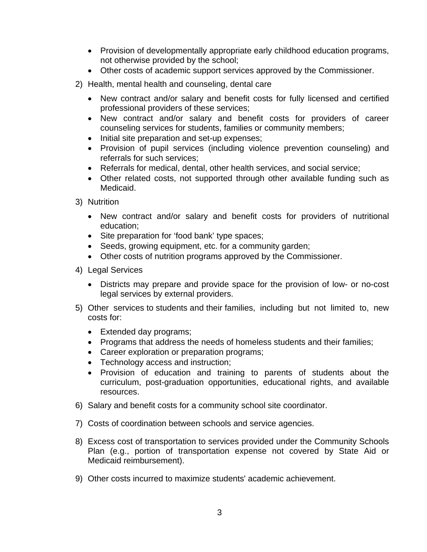- Provision of developmentally appropriate early childhood education programs, not otherwise provided by the school;
- Other costs of academic support services approved by the Commissioner.
- 2) Health, mental health and counseling, dental care
	- New contract and/or salary and benefit costs for fully licensed and certified professional providers of these services;
	- New contract and/or salary and benefit costs for providers of career counseling services for students, families or community members;
	- Initial site preparation and set-up expenses;
	- Provision of pupil services (including violence prevention counseling) and referrals for such services;
	- Referrals for medical, dental, other health services, and social service;
	- Other related costs, not supported through other available funding such as Medicaid.
- 3) Nutrition
	- New contract and/or salary and benefit costs for providers of nutritional education;
	- Site preparation for 'food bank' type spaces;
	- Seeds, growing equipment, etc. for a community garden;
	- Other costs of nutrition programs approved by the Commissioner.
- 4) Legal Services
	- Districts may prepare and provide space for the provision of low- or no-cost legal services by external providers.
- 5) Other services to students and their families, including but not limited to, new costs for:
	- Extended day programs;
	- Programs that address the needs of homeless students and their families;
	- Career exploration or preparation programs;
	- Technology access and instruction;
	- Provision of education and training to parents of students about the curriculum, post-graduation opportunities, educational rights, and available resources.
- 6) Salary and benefit costs for a community school site coordinator.
- 7) Costs of coordination between schools and service agencies.
- 8) Excess cost of transportation to services provided under the Community Schools Plan (e.g., portion of transportation expense not covered by State Aid or Medicaid reimbursement).
- 9) Other costs incurred to maximize students' academic achievement.